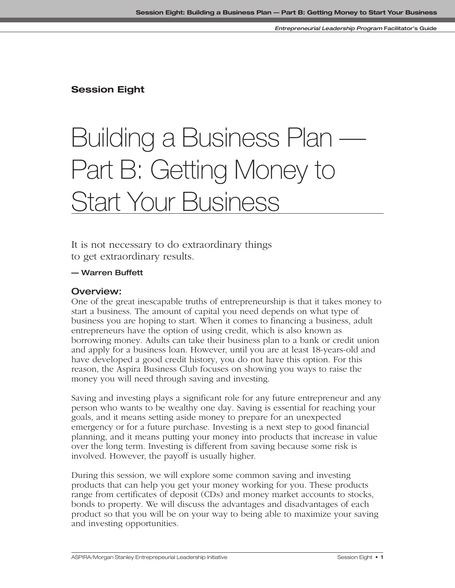## **Session Eight**

# Building a Business Plan — Part B: Getting Money to **Start Your Business**

It is not necessary to do extraordinary things to get extraordinary results.

#### **— Warren Buffett**

#### **Overview:**

One of the great inescapable truths of entrepreneurship is that it takes money to start a business. The amount of capital you need depends on what type of business you are hoping to start. When it comes to financing a business, adult entrepreneurs have the option of using credit, which is also known as borrowing money. Adults can take their business plan to a bank or credit union and apply for a business loan. However, until you are at least 18-years-old and have developed a good credit history, you do not have this option. For this reason, the Aspira Business Club focuses on showing you ways to raise the money you will need through saving and investing.

Saving and investing plays a significant role for any future entrepreneur and any person who wants to be wealthy one day. Saving is essential for reaching your goals, and it means setting aside money to prepare for an unexpected emergency or for a future purchase. Investing is a next step to good financial planning, and it means putting your money into products that increase in value over the long term. Investing is different from saving because some risk is involved. However, the payoff is usually higher.

During this session, we will explore some common saving and investing products that can help you get your money working for you. These products range from certificates of deposit (CDs) and money market accounts to stocks, bonds to property. We will discuss the advantages and disadvantages of each product so that you will be on your way to being able to maximize your saving and investing opportunities.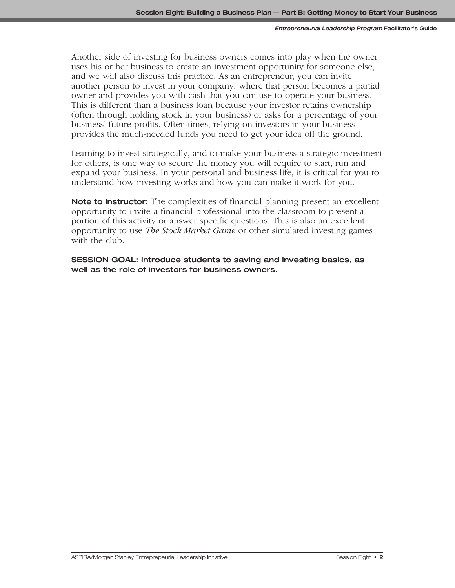Another side of investing for business owners comes into play when the owner uses his or her business to create an investment opportunity for someone else, and we will also discuss this practice. As an entrepreneur, you can invite another person to invest in your company, where that person becomes a partial owner and provides you with cash that you can use to operate your business. This is different than a business loan because your investor retains ownership (often through holding stock in your business) or asks for a percentage of your business' future profits. Often times, relying on investors in your business provides the much-needed funds you need to get your idea off the ground.

Learning to invest strategically, and to make your business a strategic investment for others, is one way to secure the money you will require to start, run and expand your business. In your personal and business life, it is critical for you to understand how investing works and how you can make it work for you.

**Note to instructor:** The complexities of financial planning present an excellent opportunity to invite a financial professional into the classroom to present a portion of this activity or answer specific questions. This is also an excellent opportunity to use *The Stock Market Game* or other simulated investing games with the club.

**SESSION GOAL: Introduce students to saving and investing basics, as well as the role of investors for business owners.**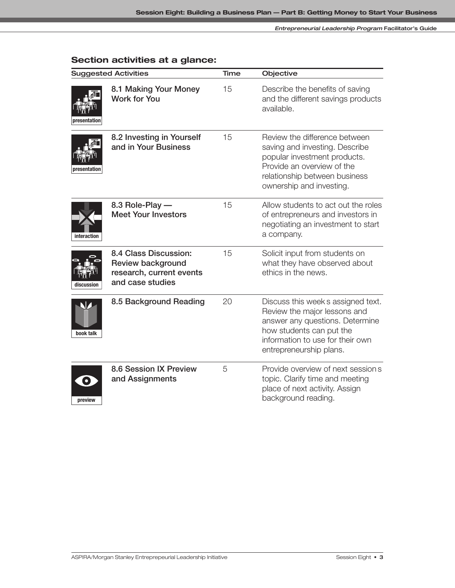## **Section activities at a glance:**

| <b>Suggested Activities</b> |                                                                                                   | Time | Objective                                                                                                                                                                                        |
|-----------------------------|---------------------------------------------------------------------------------------------------|------|--------------------------------------------------------------------------------------------------------------------------------------------------------------------------------------------------|
| oresentation                | 8.1 Making Your Money<br><b>Work for You</b>                                                      | 15   | Describe the benefits of saving<br>and the different savings products<br>available.                                                                                                              |
| presentation                | 8.2 Investing in Yourself<br>and in Your Business                                                 | 15   | Review the difference between<br>saving and investing. Describe<br>popular investment products.<br>Provide an overview of the<br>relationship between business<br>ownership and investing.       |
| interaction                 | 8.3 Role-Play -<br><b>Meet Your Investors</b>                                                     | 15   | Allow students to act out the roles<br>of entrepreneurs and investors in<br>negotiating an investment to start<br>a company.                                                                     |
| discussion                  | 8.4 Class Discussion:<br><b>Review background</b><br>research, current events<br>and case studies | 15   | Solicit input from students on<br>what they have observed about<br>ethics in the news.                                                                                                           |
| book talk                   | 8.5 Background Reading                                                                            | 20   | Discuss this week s assigned text.<br>Review the major lessons and<br>answer any questions. Determine<br>how students can put the<br>information to use for their own<br>entrepreneurship plans. |
| $\bullet$<br>preview        | <b>8.6 Session IX Preview</b><br>and Assignments                                                  | 5    | Provide overview of next session s<br>topic. Clarify time and meeting<br>place of next activity. Assign<br>background reading.                                                                   |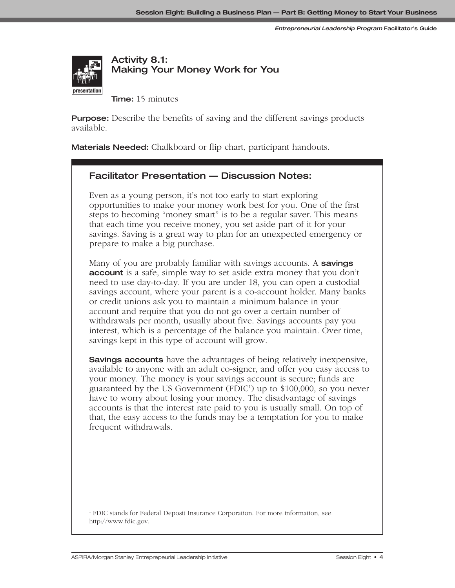

**Activity 8.1: Making Your Money Work for You**

**Time:** 15 minutes

**Purpose:** Describe the benefits of saving and the different savings products available.

**Materials Needed:** Chalkboard or flip chart, participant handouts.

#### **Facilitator Presentation — Discussion Notes:**

Even as a young person, it's not too early to start exploring opportunities to make your money work best for you. One of the first steps to becoming "money smart" is to be a regular saver. This means that each time you receive money, you set aside part of it for your savings. Saving is a great way to plan for an unexpected emergency or prepare to make a big purchase.

Many of you are probably familiar with savings accounts. A **savings account** is a safe, simple way to set aside extra money that you don't need to use day-to-day. If you are under 18, you can open a custodial savings account, where your parent is a co-account holder. Many banks or credit unions ask you to maintain a minimum balance in your account and require that you do not go over a certain number of withdrawals per month, usually about five. Savings accounts pay you interest, which is a percentage of the balance you maintain. Over time, savings kept in this type of account will grow.

**Savings accounts** have the advantages of being relatively inexpensive, available to anyone with an adult co-signer, and offer you easy access to your money. The money is your savings account is secure; funds are guaranteed by the US Government (FDIC<sup>1</sup>) up to \$100,000, so you never have to worry about losing your money. The disadvantage of savings accounts is that the interest rate paid to you is usually small. On top of that, the easy access to the funds may be a temptation for you to make frequent withdrawals.

<sup>1</sup> FDIC stands for Federal Deposit Insurance Corporation. For more information, see: http://www.fdic.gov.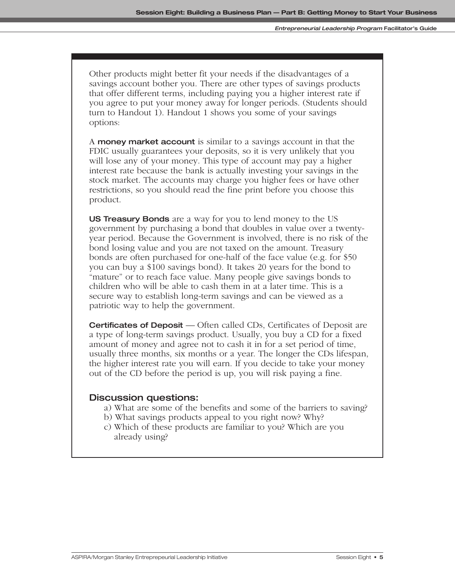Other products might better fit your needs if the disadvantages of a savings account bother you. There are other types of savings products that offer different terms, including paying you a higher interest rate if you agree to put your money away for longer periods. (Students should turn to Handout 1). Handout 1 shows you some of your savings options:

A **money market account** is similar to a savings account in that the FDIC usually guarantees your deposits, so it is very unlikely that you will lose any of your money. This type of account may pay a higher interest rate because the bank is actually investing your savings in the stock market. The accounts may charge you higher fees or have other restrictions, so you should read the fine print before you choose this product.

**US Treasury Bonds** are a way for you to lend money to the US government by purchasing a bond that doubles in value over a twentyyear period. Because the Government is involved, there is no risk of the bond losing value and you are not taxed on the amount. Treasury bonds are often purchased for one-half of the face value (e.g. for \$50 you can buy a \$100 savings bond). It takes 20 years for the bond to "mature" or to reach face value. Many people give savings bonds to children who will be able to cash them in at a later time. This is a secure way to establish long-term savings and can be viewed as a patriotic way to help the government.

**Certificates of Deposit** — Often called CDs, Certificates of Deposit are a type of long-term savings product. Usually, you buy a CD for a fixed amount of money and agree not to cash it in for a set period of time, usually three months, six months or a year. The longer the CDs lifespan, the higher interest rate you will earn. If you decide to take your money out of the CD before the period is up, you will risk paying a fine.

#### **Discussion questions:**

- a) What are some of the benefits and some of the barriers to saving?
- b) What savings products appeal to you right now? Why?
- c) Which of these products are familiar to you? Which are you already using?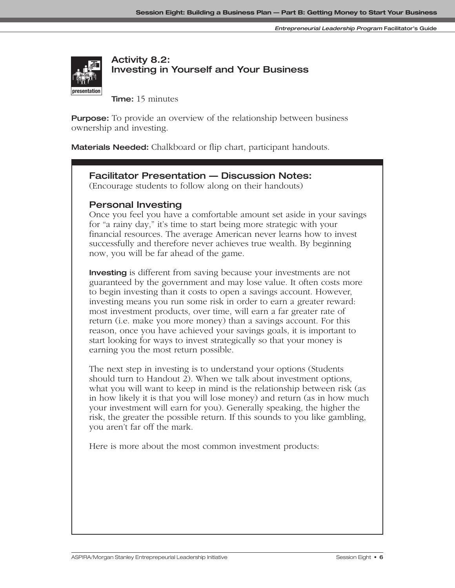

## **Activity 8.2: Investing in Yourself and Your Business**

**Time:** 15 minutes

**Purpose:** To provide an overview of the relationship between business ownership and investing.

**Materials Needed:** Chalkboard or flip chart, participant handouts.

#### **Facilitator Presentation — Discussion Notes:**

(Encourage students to follow along on their handouts)

#### **Personal Investing**

Once you feel you have a comfortable amount set aside in your savings for "a rainy day," it's time to start being more strategic with your financial resources. The average American never learns how to invest successfully and therefore never achieves true wealth. By beginning now, you will be far ahead of the game.

**Investing** is different from saving because your investments are not guaranteed by the government and may lose value. It often costs more to begin investing than it costs to open a savings account. However, investing means you run some risk in order to earn a greater reward: most investment products, over time, will earn a far greater rate of return (i.e. make you more money) than a savings account. For this reason, once you have achieved your savings goals, it is important to start looking for ways to invest strategically so that your money is earning you the most return possible.

The next step in investing is to understand your options (Students should turn to Handout 2). When we talk about investment options, what you will want to keep in mind is the relationship between risk (as in how likely it is that you will lose money) and return (as in how much your investment will earn for you). Generally speaking, the higher the risk, the greater the possible return. If this sounds to you like gambling, you aren't far off the mark.

Here is more about the most common investment products: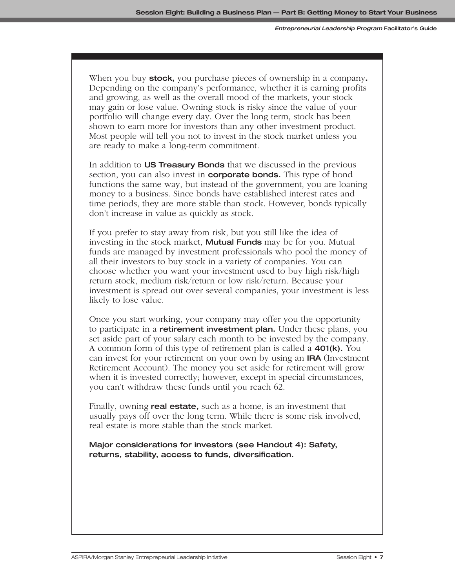When you buy **stock,** you purchase pieces of ownership in a company**.** Depending on the company's performance, whether it is earning profits and growing, as well as the overall mood of the markets, your stock may gain or lose value. Owning stock is risky since the value of your portfolio will change every day. Over the long term, stock has been shown to earn more for investors than any other investment product. Most people will tell you not to invest in the stock market unless you are ready to make a long-term commitment.

In addition to **US Treasury Bonds** that we discussed in the previous section, you can also invest in **corporate bonds.** This type of bond functions the same way, but instead of the government, you are loaning money to a business. Since bonds have established interest rates and time periods, they are more stable than stock. However, bonds typically don't increase in value as quickly as stock.

If you prefer to stay away from risk, but you still like the idea of investing in the stock market, **Mutual Funds** may be for you. Mutual funds are managed by investment professionals who pool the money of all their investors to buy stock in a variety of companies. You can choose whether you want your investment used to buy high risk/high return stock, medium risk/return or low risk/return. Because your investment is spread out over several companies, your investment is less likely to lose value.

Once you start working, your company may offer you the opportunity to participate in a **retirement investment plan.** Under these plans, you set aside part of your salary each month to be invested by the company. A common form of this type of retirement plan is called a **401(k).** You can invest for your retirement on your own by using an **IRA** (Investment Retirement Account). The money you set aside for retirement will grow when it is invested correctly; however, except in special circumstances, you can't withdraw these funds until you reach 62.

Finally, owning **real estate,** such as a home, is an investment that usually pays off over the long term. While there is some risk involved, real estate is more stable than the stock market.

**Major considerations for investors (see Handout 4): Safety, returns, stability, access to funds, diversification.**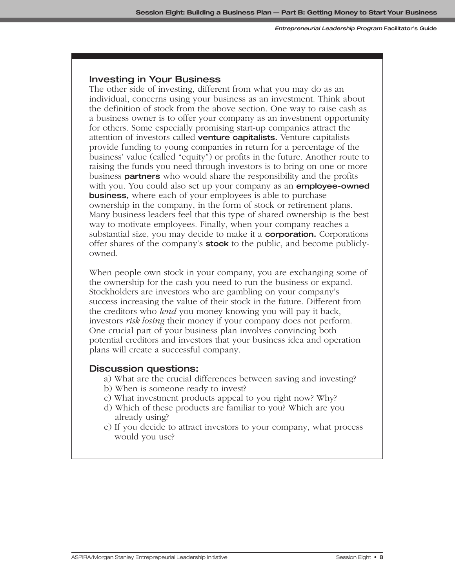#### **Investing in Your Business**

The other side of investing, different from what you may do as an individual, concerns using your business as an investment. Think about the definition of stock from the above section. One way to raise cash as a business owner is to offer your company as an investment opportunity for others. Some especially promising start-up companies attract the attention of investors called **venture capitalists.** Venture capitalists provide funding to young companies in return for a percentage of the business' value (called "equity") or profits in the future. Another route to raising the funds you need through investors is to bring on one or more business **partners** who would share the responsibility and the profits with you. You could also set up your company as an **employee-owned business,** where each of your employees is able to purchase ownership in the company, in the form of stock or retirement plans. Many business leaders feel that this type of shared ownership is the best way to motivate employees. Finally, when your company reaches a substantial size, you may decide to make it a **corporation.** Corporations offer shares of the company's **stock** to the public, and become publiclyowned.

When people own stock in your company, you are exchanging some of the ownership for the cash you need to run the business or expand. Stockholders are investors who are gambling on your company's success increasing the value of their stock in the future. Different from the creditors who *lend* you money knowing you will pay it back, investors *risk losing* their money if your company does not perform. One crucial part of your business plan involves convincing both potential creditors and investors that your business idea and operation plans will create a successful company.

#### **Discussion questions:**

- a) What are the crucial differences between saving and investing?
- b) When is someone ready to invest?
- c) What investment products appeal to you right now? Why?
- d) Which of these products are familiar to you? Which are you already using?
- e) If you decide to attract investors to your company, what process would you use?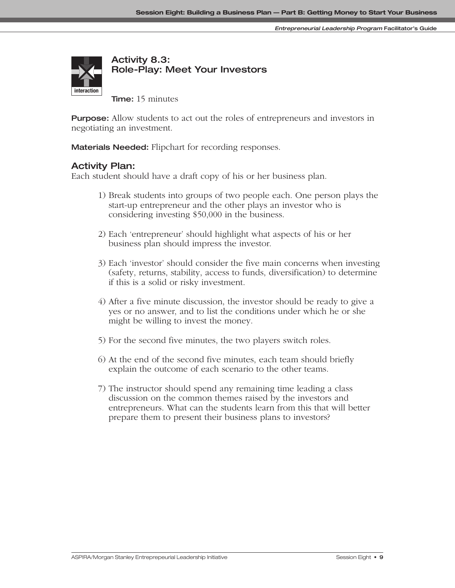

**Activity 8.3: Role-Play: Meet Your Investors**

**Time:** 15 minutes

**Purpose:** Allow students to act out the roles of entrepreneurs and investors in negotiating an investment.

**Materials Needed:** Flipchart for recording responses.

#### **Activity Plan:**

Each student should have a draft copy of his or her business plan.

- 1) Break students into groups of two people each. One person plays the start-up entrepreneur and the other plays an investor who is considering investing \$50,000 in the business.
- 2) Each 'entrepreneur' should highlight what aspects of his or her business plan should impress the investor.
- 3) Each 'investor' should consider the five main concerns when investing (safety, returns, stability, access to funds, diversification) to determine if this is a solid or risky investment.
- 4) After a five minute discussion, the investor should be ready to give a yes or no answer, and to list the conditions under which he or she might be willing to invest the money.
- 5) For the second five minutes, the two players switch roles.
- 6) At the end of the second five minutes, each team should briefly explain the outcome of each scenario to the other teams.
- 7) The instructor should spend any remaining time leading a class discussion on the common themes raised by the investors and entrepreneurs. What can the students learn from this that will better prepare them to present their business plans to investors?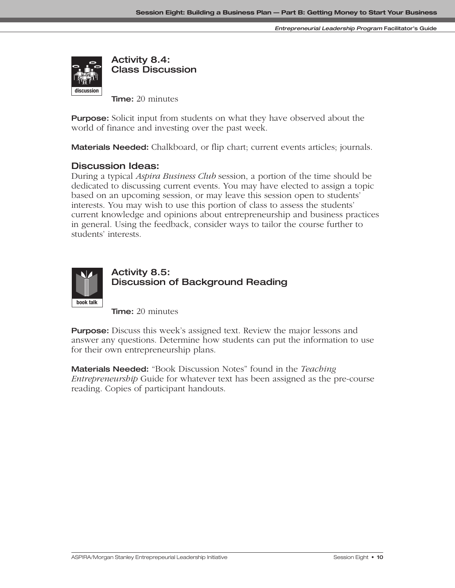**Entrepreneurial Leadership Program Facilitator's Guide**



**Activity 8.4: Class Discussion**

**Time:** 20 minutes

**Purpose:** Solicit input from students on what they have observed about the world of finance and investing over the past week.

**Materials Needed:** Chalkboard, or flip chart; current events articles; journals.

#### **Discussion Ideas:**

During a typical *Aspira Business Club* session, a portion of the time should be dedicated to discussing current events. You may have elected to assign a topic based on an upcoming session, or may leave this session open to students' interests. You may wish to use this portion of class to assess the students' current knowledge and opinions about entrepreneurship and business practices in general. Using the feedback, consider ways to tailor the course further to students' interests.



## **Activity 8.5: Discussion of Background Reading**

**Time:** 20 minutes

**Purpose:** Discuss this week's assigned text. Review the major lessons and answer any questions. Determine how students can put the information to use for their own entrepreneurship plans.

**Materials Needed:** "Book Discussion Notes" found in the *Teaching Entrepreneurship* Guide for whatever text has been assigned as the pre-course reading. Copies of participant handouts.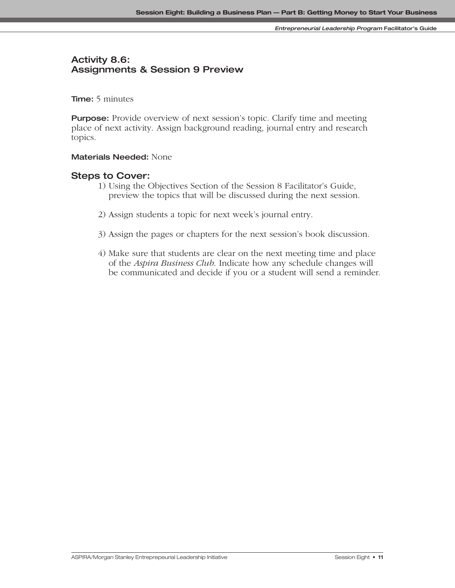## **Activity 8.6: Assignments & Session 9 Preview**

**Time:** 5 minutes

**Purpose:** Provide overview of next session's topic. Clarify time and meeting place of next activity. Assign background reading, journal entry and research topics.

#### **Materials Needed:** None

#### **Steps to Cover:**

- 1) Using the Objectives Section of the Session 8 Facilitator's Guide, preview the topics that will be discussed during the next session.
- 2) Assign students a topic for next week's journal entry.
- 3) Assign the pages or chapters for the next session's book discussion.
- 4) Make sure that students are clear on the next meeting time and place of the *Aspira Business Club*. Indicate how any schedule changes will be communicated and decide if you or a student will send a reminder.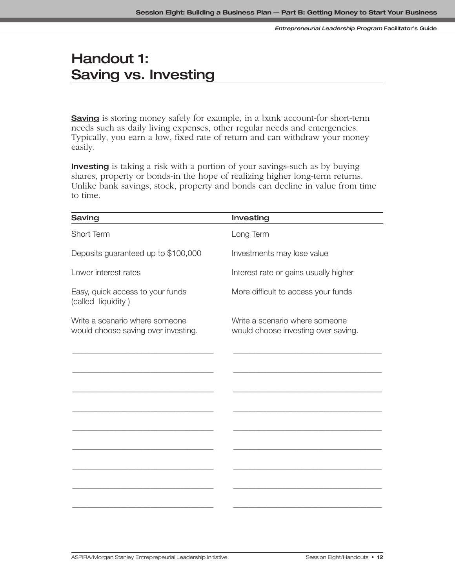# **Handout 1: Saving vs. Investing**

**Saving** is storing money safely for example, in a bank account-for short-term needs such as daily living expenses, other regular needs and emergencies. Typically, you earn a low, fixed rate of return and can withdraw your money easily.

**Investing** is taking a risk with a portion of your savings-such as by buying shares, property or bonds-in the hope of realizing higher long-term returns. Unlike bank savings, stock, property and bonds can decline in value from time to time.

| Saving                                                                | Investing                                                             |
|-----------------------------------------------------------------------|-----------------------------------------------------------------------|
| Short Term                                                            | Long Term                                                             |
| Deposits guaranteed up to \$100,000                                   | Investments may lose value                                            |
| Lower interest rates                                                  | Interest rate or gains usually higher                                 |
| Easy, quick access to your funds<br>(called liquidity)                | More difficult to access your funds                                   |
| Write a scenario where someone<br>would choose saving over investing. | Write a scenario where someone<br>would choose investing over saving. |
|                                                                       |                                                                       |
|                                                                       |                                                                       |
|                                                                       |                                                                       |
|                                                                       |                                                                       |
|                                                                       |                                                                       |
|                                                                       |                                                                       |
|                                                                       |                                                                       |
|                                                                       |                                                                       |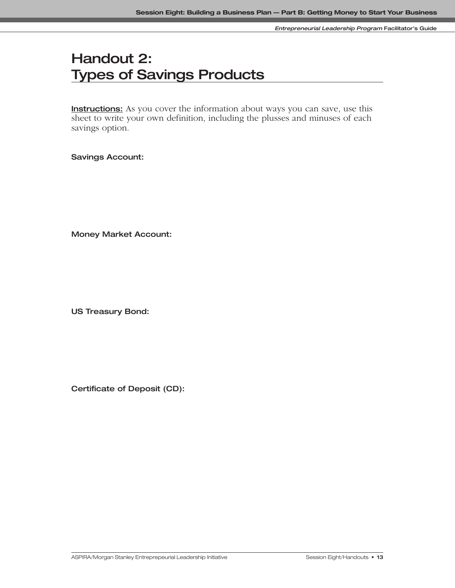# **Handout 2: Types of Savings Products**

**Instructions:** As you cover the information about ways you can save, use this sheet to write your own definition, including the plusses and minuses of each savings option.

**Savings Account:**

**Money Market Account:**

**US Treasury Bond:**

**Certificate of Deposit (CD):**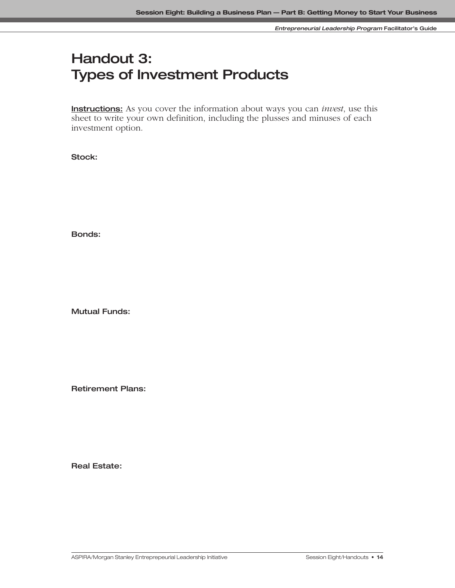# **Handout 3: Types of Investment Products**

**Instructions:** As you cover the information about ways you can *invest*, use this sheet to write your own definition, including the plusses and minuses of each investment option.

**Stock:**

**Bonds:** 

**Mutual Funds:**

**Retirement Plans:**

**Real Estate:**